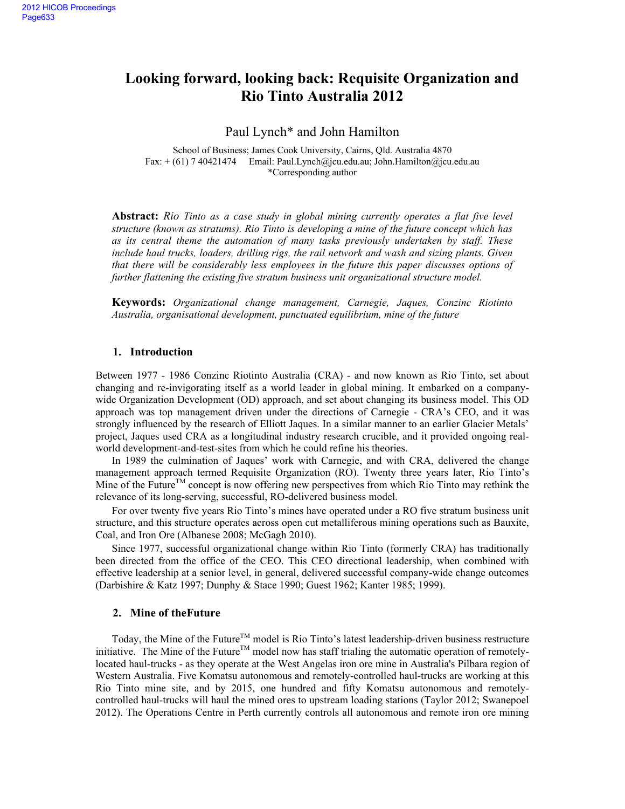# **Looking forward, looking back: Requisite Organization and Rio Tinto Australia 2012**

Paul Lynch\* and John Hamilton

School of Business; James Cook University, Cairns, Qld. Australia 4870 Fax:  $+(61)$  7 40421474 Email: Paul.Lynch@jcu.edu.au; John.Hamilton@jcu.edu.au \*Corresponding author

**Abstract:** *Rio Tinto as a case study in global mining currently operates a flat five level structure (known as stratums). Rio Tinto is developing a mine of the future concept which has as its central theme the automation of many tasks previously undertaken by staff. These include haul trucks, loaders, drilling rigs, the rail network and wash and sizing plants. Given that there will be considerably less employees in the future this paper discusses options of further flattening the existing five stratum business unit organizational structure model.* 

**Keywords:** *Organizational change management, Carnegie, Jaques, Conzinc Riotinto Australia, organisational development, punctuated equilibrium, mine of the future* 

## **1. Introduction**

Between 1977 - 1986 Conzinc Riotinto Australia (CRA) - and now known as Rio Tinto, set about changing and re-invigorating itself as a world leader in global mining. It embarked on a companywide Organization Development (OD) approach, and set about changing its business model. This OD approach was top management driven under the directions of Carnegie - CRA's CEO, and it was strongly influenced by the research of Elliott Jaques. In a similar manner to an earlier Glacier Metals' project, Jaques used CRA as a longitudinal industry research crucible, and it provided ongoing realworld development-and-test-sites from which he could refine his theories.

In 1989 the culmination of Jaques' work with Carnegie, and with CRA, delivered the change management approach termed Requisite Organization (RO). Twenty three years later, Rio Tinto's Mine of the Future<sup>TM</sup> concept is now offering new perspectives from which Rio Tinto may rethink the relevance of its long-serving, successful, RO-delivered business model.

For over twenty five years Rio Tinto's mines have operated under a RO five stratum business unit structure, and this structure operates across open cut metalliferous mining operations such as Bauxite, Coal, and Iron Ore (Albanese 2008; McGagh 2010).

Since 1977, successful organizational change within Rio Tinto (formerly CRA) has traditionally been directed from the office of the CEO. This CEO directional leadership, when combined with effective leadership at a senior level, in general, delivered successful company-wide change outcomes (Darbishire & Katz 1997; Dunphy & Stace 1990; Guest 1962; Kanter 1985; 1999).

#### **2. Mine of theFuture**

Today, the Mine of the Future<sup>TM</sup> model is Rio Tinto's latest leadership-driven business restructure initiative. The Mine of the Future<sup>TM</sup> model now has staff trialing the automatic operation of remotelylocated haul-trucks - as they operate at the West Angelas iron ore mine in Australia's Pilbara region of Western Australia. Five Komatsu autonomous and remotely-controlled haul-trucks are working at this Rio Tinto mine site, and by 2015, one hundred and fifty Komatsu autonomous and remotelycontrolled haul-trucks will haul the mined ores to upstream loading stations (Taylor 2012; Swanepoel 2012). The Operations Centre in Perth currently controls all autonomous and remote iron ore mining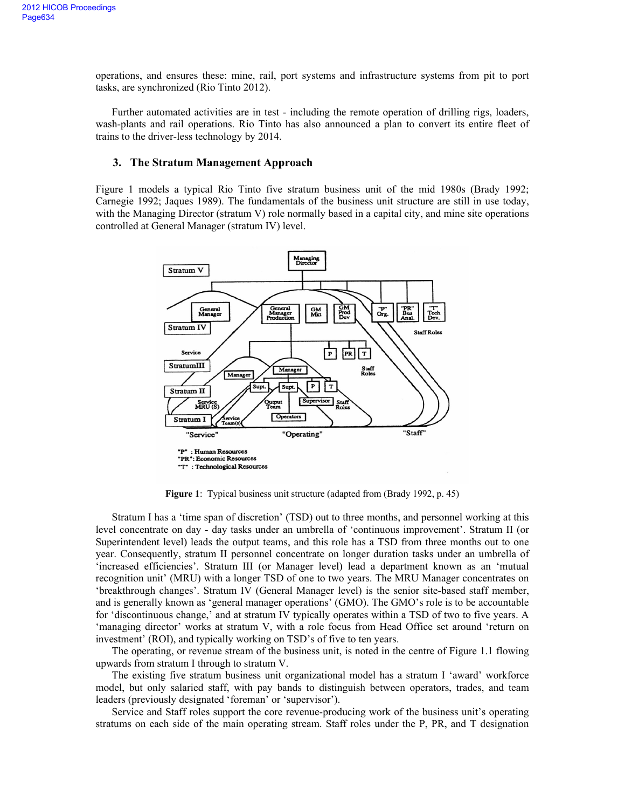operations, and ensures these: mine, rail, port systems and infrastructure systems from pit to port tasks, are synchronized (Rio Tinto 2012).

Further automated activities are in test - including the remote operation of drilling rigs, loaders, wash-plants and rail operations. Rio Tinto has also announced a plan to convert its entire fleet of trains to the driver-less technology by 2014.

## **3. The Stratum Management Approach**

Figure 1 models a typical Rio Tinto five stratum business unit of the mid 1980s (Brady 1992; Carnegie 1992; Jaques 1989). The fundamentals of the business unit structure are still in use today, with the Managing Director (stratum V) role normally based in a capital city, and mine site operations controlled at General Manager (stratum IV) level.



**Figure 1**: Typical business unit structure (adapted from (Brady 1992, p. 45)

Stratum I has a 'time span of discretion' (TSD) out to three months, and personnel working at this level concentrate on day - day tasks under an umbrella of 'continuous improvement'. Stratum II (or Superintendent level) leads the output teams, and this role has a TSD from three months out to one year. Consequently, stratum II personnel concentrate on longer duration tasks under an umbrella of 'increased efficiencies'. Stratum III (or Manager level) lead a department known as an 'mutual recognition unit' (MRU) with a longer TSD of one to two years. The MRU Manager concentrates on 'breakthrough changes'. Stratum IV (General Manager level) is the senior site-based staff member, and is generally known as 'general manager operations' (GMO). The GMO's role is to be accountable for 'discontinuous change,' and at stratum IV typically operates within a TSD of two to five years. A 'managing director' works at stratum V, with a role focus from Head Office set around 'return on investment' (ROI), and typically working on TSD's of five to ten years.

The operating, or revenue stream of the business unit, is noted in the centre of Figure 1.1 flowing upwards from stratum I through to stratum V.

The existing five stratum business unit organizational model has a stratum I 'award' workforce model, but only salaried staff, with pay bands to distinguish between operators, trades, and team leaders (previously designated 'foreman' or 'supervisor').

Service and Staff roles support the core revenue-producing work of the business unit's operating stratums on each side of the main operating stream. Staff roles under the P, PR, and T designation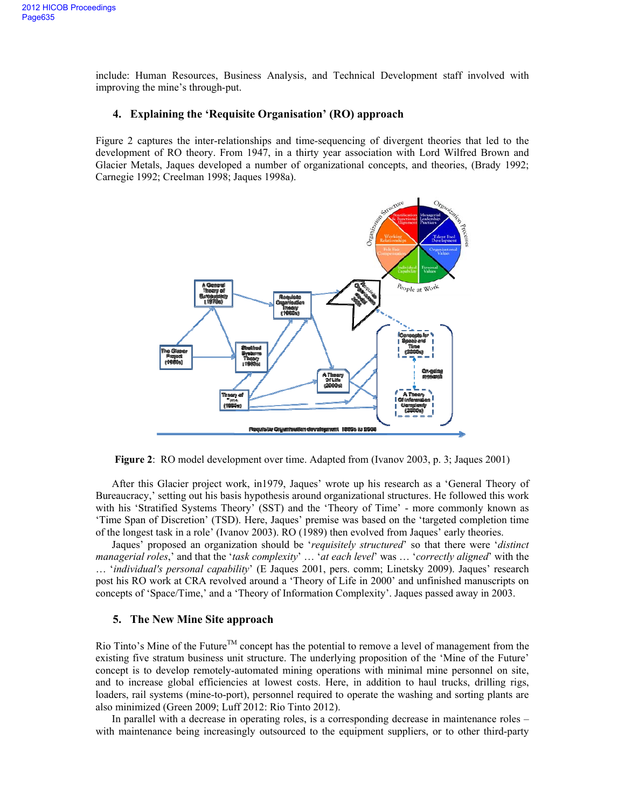include: Human Resources, Business Analysis, and Technical Development staff involved with improving the mine's through-put.

# **4. Explaining the 'Requisite Organisation' (RO) approach**

Figure 2 captures the inter-relationships and time-sequencing of divergent theories that led to the development of RO theory. From 1947, in a thirty year association with Lord Wilfred Brown and Glacier Metals, Jaques developed a number of organizational concepts, and theories, (Brady 1992; Carnegie 1992; Creelman 1998; Jaques 1998a).



**Figure 2**: RO model development over time. Adapted from (Ivanov 2003, p. 3; Jaques 2001)

After this Glacier project work, in1979, Jaques' wrote up his research as a 'General Theory of Bureaucracy,' setting out his basis hypothesis around organizational structures. He followed this work with his 'Stratified Systems Theory' (SST) and the 'Theory of Time' - more commonly known as 'Time Span of Discretion' (TSD). Here, Jaques' premise was based on the 'targeted completion time of the longest task in a role' (Ivanov 2003). RO (1989) then evolved from Jaques' early theories.

Jaques' proposed an organization should be '*requisitely structured*' so that there were '*distinct managerial roles*,' and that the '*task complexity*' … '*at each level*' was … '*correctly aligned*' with the … '*individual's personal capability*' (E Jaques 2001, pers. comm; Linetsky 2009). Jaques' research post his RO work at CRA revolved around a 'Theory of Life in 2000' and unfinished manuscripts on concepts of 'Space/Time,' and a 'Theory of Information Complexity'. Jaques passed away in 2003.

#### **5. The New Mine Site approach**

Rio Tinto's Mine of the Future<sup>TM</sup> concept has the potential to remove a level of management from the existing five stratum business unit structure. The underlying proposition of the 'Mine of the Future' concept is to develop remotely-automated mining operations with minimal mine personnel on site, and to increase global efficiencies at lowest costs. Here, in addition to haul trucks, drilling rigs, loaders, rail systems (mine-to-port), personnel required to operate the washing and sorting plants are also minimized (Green 2009; Luff 2012: Rio Tinto 2012).

In parallel with a decrease in operating roles, is a corresponding decrease in maintenance roles – with maintenance being increasingly outsourced to the equipment suppliers, or to other third-party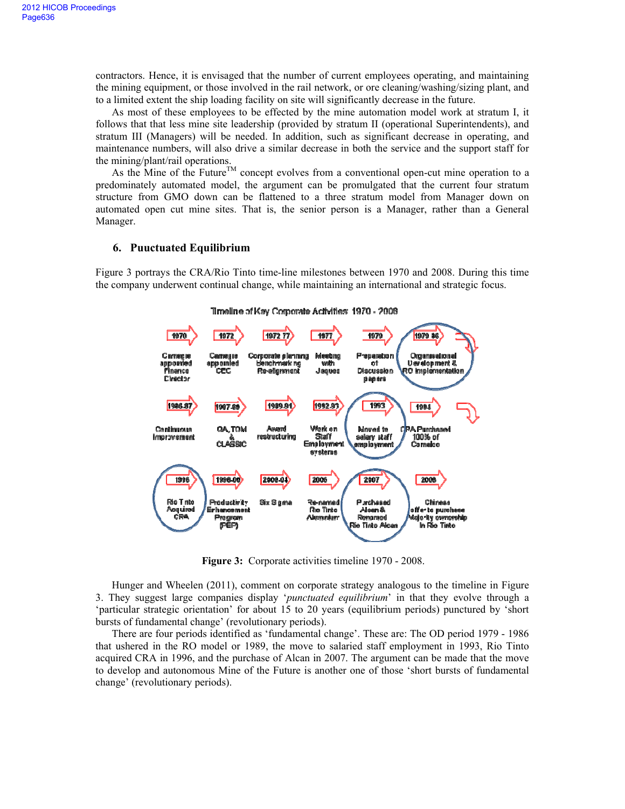contractors. Hence, it is envisaged that the number of current employees operating, and maintaining the mining equipment, or those involved in the rail network, or ore cleaning/washing/sizing plant, and to a limited extent the ship loading facility on site will significantly decrease in the future.

As most of these employees to be effected by the mine automation model work at stratum I, it follows that that less mine site leadership (provided by stratum II (operational Superintendents), and stratum III (Managers) will be needed. In addition, such as significant decrease in operating, and maintenance numbers, will also drive a similar decrease in both the service and the support staff for the mining/plant/rail operations.

As the Mine of the Future<sup>TM</sup> concept evolves from a conventional open-cut mine operation to a predominately automated model, the argument can be promulgated that the current four stratum structure from GMO down can be flattened to a three stratum model from Manager down on automated open cut mine sites. That is, the senior person is a Manager, rather than a General Manager.

## **6. Puuctuated Equilibrium**

Figure 3 portrays the CRA/Rio Tinto time-line milestones between 1970 and 2008. During this time the company underwent continual change, while maintaining an international and strategic focus.



Timeline of Kay Corporate Activities: 1970 - 2008

**Figure 3:** Corporate activities timeline 1970 - 2008.

Hunger and Wheelen (2011), comment on corporate strategy analogous to the timeline in Figure 3. They suggest large companies display '*punctuated equilibrium*' in that they evolve through a 'particular strategic orientation' for about 15 to 20 years (equilibrium periods) punctured by 'short bursts of fundamental change' (revolutionary periods).

There are four periods identified as 'fundamental change'. These are: The OD period 1979 - 1986 that ushered in the RO model or 1989, the move to salaried staff employment in 1993, Rio Tinto acquired CRA in 1996, and the purchase of Alcan in 2007. The argument can be made that the move to develop and autonomous Mine of the Future is another one of those 'short bursts of fundamental change' (revolutionary periods).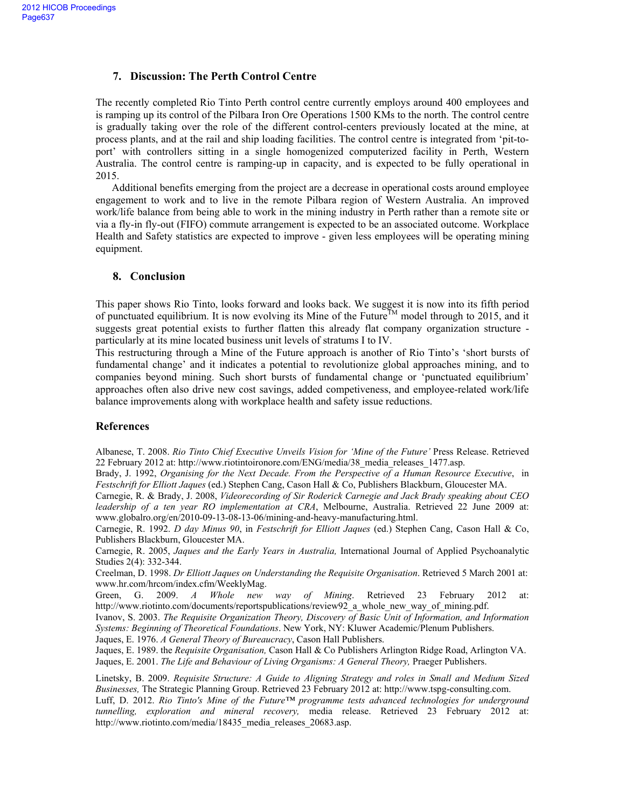# **7. Discussion: The Perth Control Centre**

The recently completed Rio Tinto Perth control centre currently employs around 400 employees and is ramping up its control of the Pilbara Iron Ore Operations 1500 KMs to the north. The control centre is gradually taking over the role of the different control-centers previously located at the mine, at process plants, and at the rail and ship loading facilities. The control centre is integrated from 'pit-toport' with controllers sitting in a single homogenized computerized facility in Perth, Western Australia. The control centre is ramping-up in capacity, and is expected to be fully operational in 2015.

Additional benefits emerging from the project are a decrease in operational costs around employee engagement to work and to live in the remote Pilbara region of Western Australia. An improved work/life balance from being able to work in the mining industry in Perth rather than a remote site or via a fly-in fly-out (FIFO) commute arrangement is expected to be an associated outcome. Workplace Health and Safety statistics are expected to improve - given less employees will be operating mining equipment.

# **8. Conclusion**

This paper shows Rio Tinto, looks forward and looks back. We suggest it is now into its fifth period of punctuated equilibrium. It is now evolving its Mine of the Future<sup>TM</sup> model through to 2015, and it suggests great potential exists to further flatten this already flat company organization structure particularly at its mine located business unit levels of stratums I to IV.

This restructuring through a Mine of the Future approach is another of Rio Tinto's 'short bursts of fundamental change' and it indicates a potential to revolutionize global approaches mining, and to companies beyond mining. Such short bursts of fundamental change or 'punctuated equilibrium' approaches often also drive new cost savings, added competiveness, and employee-related work/life balance improvements along with workplace health and safety issue reductions.

# **References**

Albanese, T. 2008. *Rio Tinto Chief Executive Unveils Vision for 'Mine of the Future'* Press Release. Retrieved 22 February 2012 at: http://www.riotintoironore.com/ENG/media/38\_media\_releases\_1477.asp.

Brady, J. 1992, *Organising for the Next Decade. From the Perspective of a Human Resource Executive*, in *Festschrift for Elliott Jaques* (ed.) Stephen Cang, Cason Hall & Co, Publishers Blackburn, Gloucester MA.

Carnegie, R. & Brady, J. 2008, *Videorecording of Sir Roderick Carnegie and Jack Brady speaking about CEO leadership of a ten year RO implementation at CRA*, Melbourne, Australia. Retrieved 22 June 2009 at: www.globalro.org/en/2010-09-13-08-13-06/mining-and-heavy-manufacturing.html.

Carnegie, R. 1992. *D day Minus 90*, in *Festschrift for Elliott Jaques* (ed.) Stephen Cang, Cason Hall & Co, Publishers Blackburn, Gloucester MA.

Carnegie, R. 2005, *Jaques and the Early Years in Australia,* International Journal of Applied Psychoanalytic Studies 2(4): 332-344.

Creelman, D. 1998. *Dr Elliott Jaques on Understanding the Requisite Organisation*. Retrieved 5 March 2001 at: www.hr.com/hrcom/index.cfm/WeeklyMag.

Green, G. 2009. *A Whole new way of Mining*. Retrieved 23 February 2012 at: http://www.riotinto.com/documents/reportspublications/review92\_a\_whole\_new\_way\_of\_mining.pdf.

Ivanov, S. 2003. *The Requisite Organization Theory, Discovery of Basic Unit of Information, and Information Systems: Beginning of Theoretical Foundations*. New York, NY: Kluwer Academic/Plenum Publishers.

Jaques, E. 1976. *A General Theory of Bureaucracy*, Cason Hall Publishers.

Jaques, E. 1989. the *Requisite Organisation,* Cason Hall & Co Publishers Arlington Ridge Road, Arlington VA. Jaques, E. 2001. *The Life and Behaviour of Living Organisms: A General Theory,* Praeger Publishers.

Linetsky, B. 2009. *Requisite Structure: A Guide to Aligning Strategy and roles in Small and Medium Sized Businesses,* The Strategic Planning Group. Retrieved 23 February 2012 at: http://www.tspg-consulting.com. Luff, D. 2012. *Rio Tinto's Mine of the Future™ programme tests advanced technologies for underground tunnelling, exploration and mineral recovery,* media release. Retrieved 23 February 2012 at: http://www.riotinto.com/media/18435\_media\_releases\_20683.asp.